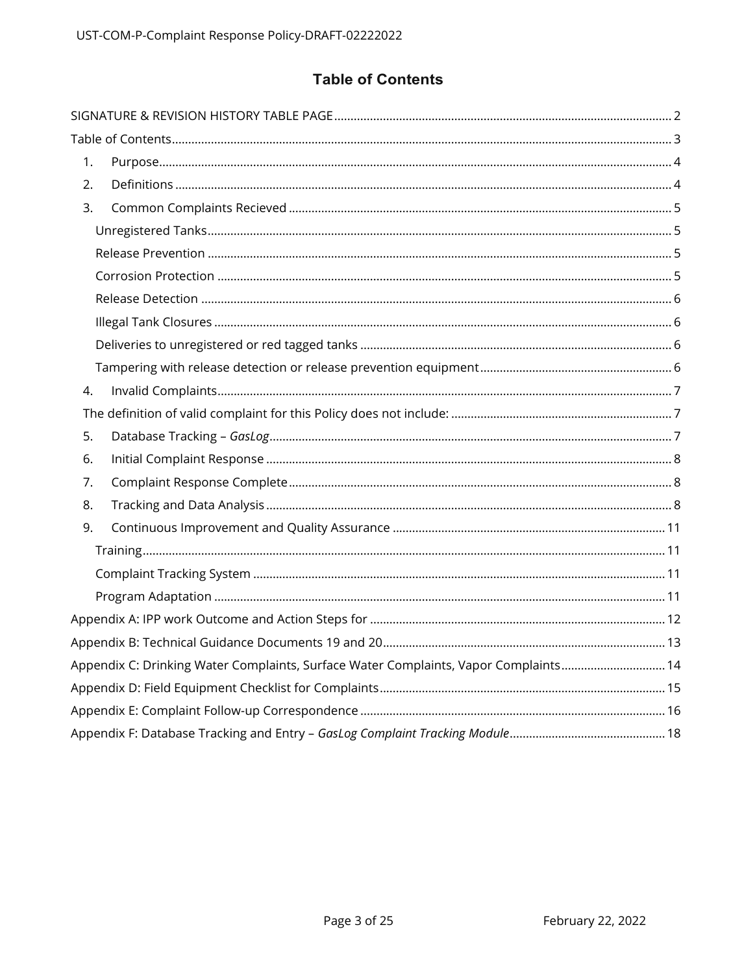# **Table of Contents**

<span id="page-2-0"></span>

| 1.                                                                                  |  |
|-------------------------------------------------------------------------------------|--|
| 2.                                                                                  |  |
| 3.                                                                                  |  |
|                                                                                     |  |
|                                                                                     |  |
|                                                                                     |  |
|                                                                                     |  |
|                                                                                     |  |
|                                                                                     |  |
|                                                                                     |  |
| 4.                                                                                  |  |
|                                                                                     |  |
| 5.                                                                                  |  |
| 6.                                                                                  |  |
| 7.                                                                                  |  |
| 8.                                                                                  |  |
| 9.                                                                                  |  |
|                                                                                     |  |
|                                                                                     |  |
|                                                                                     |  |
|                                                                                     |  |
|                                                                                     |  |
| Appendix C: Drinking Water Complaints, Surface Water Complaints, Vapor Complaints14 |  |
|                                                                                     |  |
|                                                                                     |  |
|                                                                                     |  |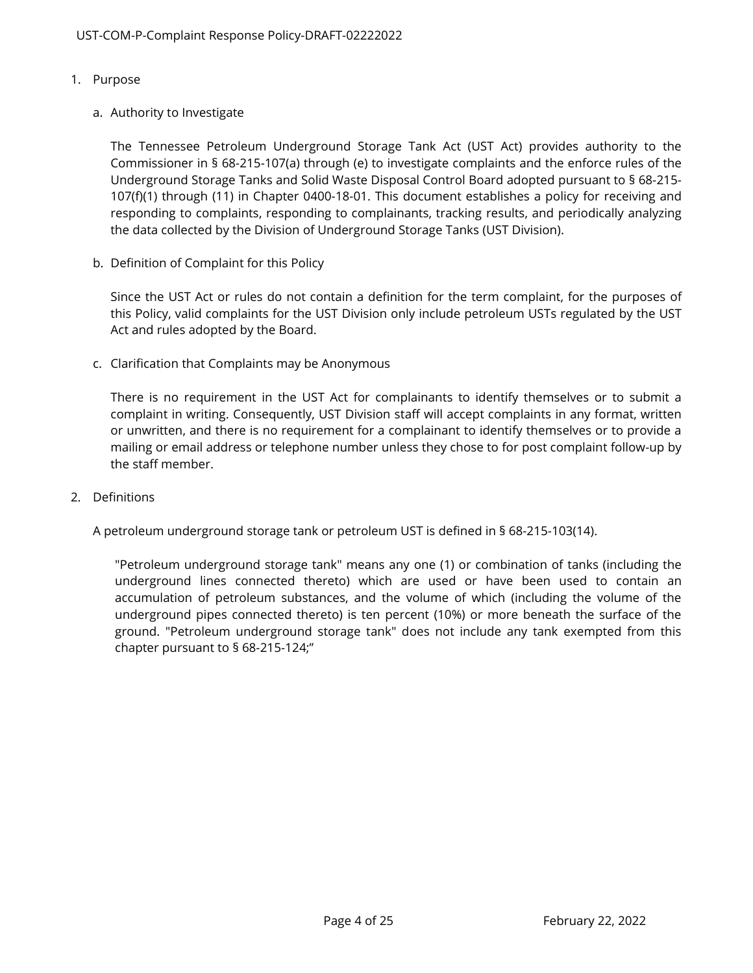- <span id="page-3-0"></span>1. Purpose
	- a. Authority to Investigate

The Tennessee Petroleum Underground Storage Tank Act (UST Act) provides authority to the Commissioner in § 68-215-107(a) through (e) to investigate complaints and the enforce rules of the Underground Storage Tanks and Solid Waste Disposal Control Board adopted pursuant to § 68-215- 107(f)(1) through (11) in Chapter 0400-18-01. This document establishes a policy for receiving and responding to complaints, responding to complainants, tracking results, and periodically analyzing the data collected by the Division of Underground Storage Tanks (UST Division).

b. Definition of Complaint for this Policy

Since the UST Act or rules do not contain a definition for the term complaint, for the purposes of this Policy, valid complaints for the UST Division only include petroleum USTs regulated by the UST Act and rules adopted by the Board.

c. Clarification that Complaints may be Anonymous

There is no requirement in the UST Act for complainants to identify themselves or to submit a complaint in writing. Consequently, UST Division staff will accept complaints in any format, written or unwritten, and there is no requirement for a complainant to identify themselves or to provide a mailing or email address or telephone number unless they chose to for post complaint follow-up by the staff member.

<span id="page-3-1"></span>2. Definitions

A petroleum underground storage tank or petroleum UST is defined in § 68-215-103(14).

"Petroleum underground storage tank" means any one (1) or combination of tanks (including the underground lines connected thereto) which are used or have been used to contain an accumulation of petroleum substances, and the volume of which (including the volume of the underground pipes connected thereto) is ten percent (10%) or more beneath the surface of the ground. "Petroleum underground storage tank" does not include any tank exempted from this chapter pursuant to § 68-215-124;"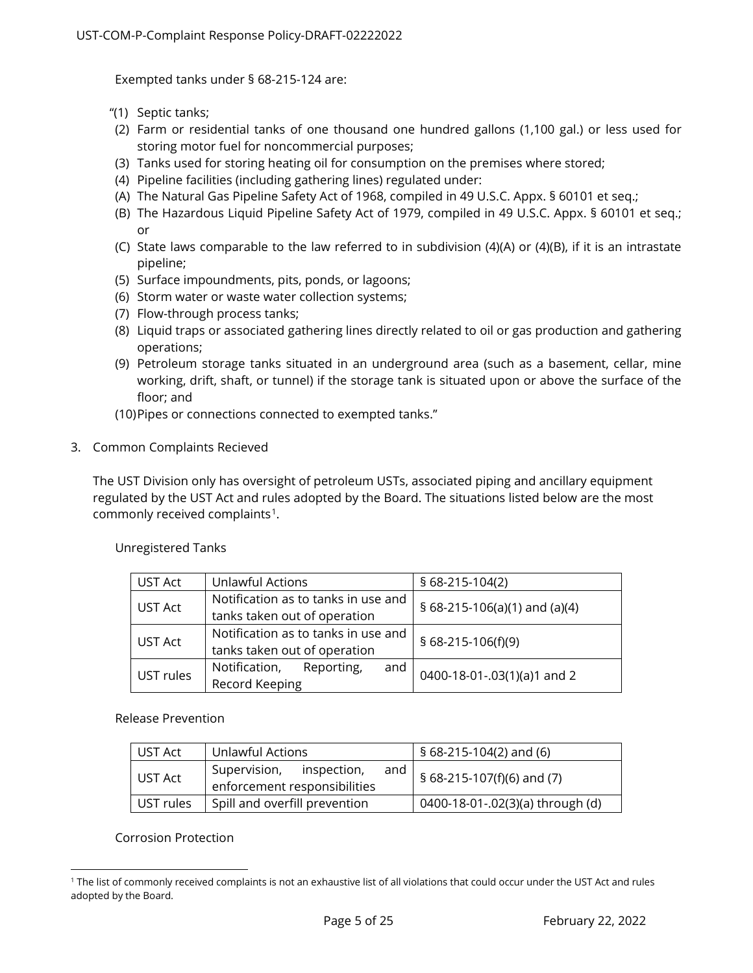Exempted tanks under § 68-215-124 are:

- "(1) Septic tanks;
- (2) Farm or residential tanks of one thousand one hundred gallons (1,100 gal.) or less used for storing motor fuel for noncommercial purposes;
- (3) Tanks used for storing heating oil for consumption on the premises where stored;
- (4) Pipeline facilities (including gathering lines) regulated under:
- (A) The Natural Gas Pipeline Safety Act of 1968, compiled in 49 U.S.C. Appx. § 60101 et seq.;
- (B) The Hazardous Liquid Pipeline Safety Act of 1979, compiled in 49 U.S.C. Appx. § 60101 et seq.; or
- (C) State laws comparable to the law referred to in subdivision (4)(A) or (4)(B), if it is an intrastate pipeline;
- (5) Surface impoundments, pits, ponds, or lagoons;
- (6) Storm water or waste water collection systems;
- (7) Flow-through process tanks;
- (8) Liquid traps or associated gathering lines directly related to oil or gas production and gathering operations;
- (9) Petroleum storage tanks situated in an underground area (such as a basement, cellar, mine working, drift, shaft, or tunnel) if the storage tank is situated upon or above the surface of the floor; and
- (10) Pipes or connections connected to exempted tanks."
- <span id="page-4-0"></span>3. Common Complaints Recieved

The UST Division only has oversight of petroleum USTs, associated piping and ancillary equipment regulated by the UST Act and rules adopted by the Board. The situations listed below are the most commonly received complaints<sup>1</sup>.

| UST Act   | <b>Unlawful Actions</b>             | $$68-215-104(2)$              |  |  |  |  |  |
|-----------|-------------------------------------|-------------------------------|--|--|--|--|--|
|           | Notification as to tanks in use and |                               |  |  |  |  |  |
| UST Act   | tanks taken out of operation        | § 68-215-106(a)(1) and (a)(4) |  |  |  |  |  |
|           | Notification as to tanks in use and |                               |  |  |  |  |  |
| UST Act   | tanks taken out of operation        | $$68-215-106(f)(9)$           |  |  |  |  |  |
| UST rules | and<br>Notification,<br>Reporting,  |                               |  |  |  |  |  |
|           | Record Keeping                      | 0400-18-01-.03(1)(a)1 and 2   |  |  |  |  |  |

<span id="page-4-1"></span>Unregistered Tanks

<span id="page-4-2"></span>Release Prevention

| UST Act   | Unlawful Actions                                                   | § 68-215-104(2) and (6)                  |
|-----------|--------------------------------------------------------------------|------------------------------------------|
| UST Act   | Supervision,<br>inspection,<br>and<br>enforcement responsibilities | $\frac{1}{2}$ § 68-215-107(f)(6) and (7) |
| UST rules | Spill and overfill prevention                                      | 0400-18-01-.02(3)(a) through (d)         |

<span id="page-4-3"></span>Corrosion Protection

<span id="page-4-4"></span><sup>&</sup>lt;sup>1</sup> The list of commonly received complaints is not an exhaustive list of all violations that could occur under the UST Act and rules adopted by the Board.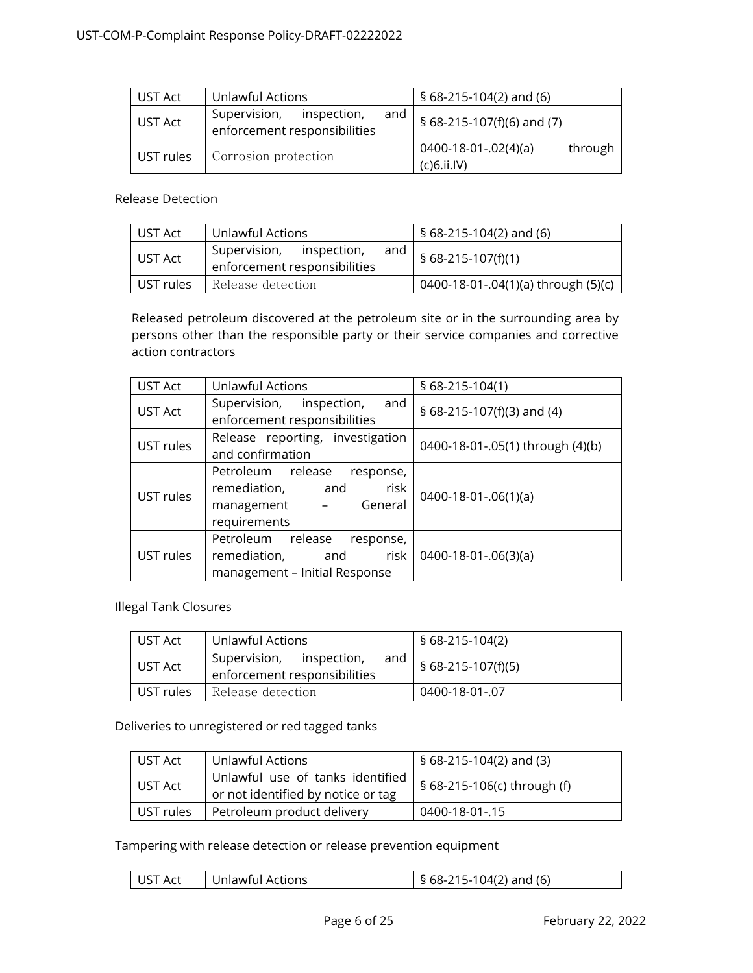| UST Act   | Unlawful Actions                                                   | $$68-215-104(2)$ and (6)                        |  |  |  |  |  |
|-----------|--------------------------------------------------------------------|-------------------------------------------------|--|--|--|--|--|
| UST Act   | Supervision,<br>inspection,<br>and<br>enforcement responsibilities | § $68-215-107(f)(6)$ and (7)                    |  |  |  |  |  |
| UST rules | Corrosion protection                                               | through<br>$0400-18-01-.02(4)(a)$<br>(c)6.ii.IV |  |  |  |  |  |

#### <span id="page-5-0"></span>Release Detection

| UST Act   | Unlawful Actions                                                | § 68-215-104(2) and (6)             |
|-----------|-----------------------------------------------------------------|-------------------------------------|
| l UST Act | Supervision, inspection,<br>and<br>enforcement responsibilities | $$68-215-107(f)(1)$                 |
| UST rules | Release detection                                               | 0400-18-01-.04(1)(a) through (5)(c) |

Released petroleum discovered at the petroleum site or in the surrounding area by persons other than the responsible party or their service companies and corrective action contractors

| <b>UST Act</b> | <b>Unlawful Actions</b>                                                                                  | § 68-215-104(1)                  |  |  |  |  |
|----------------|----------------------------------------------------------------------------------------------------------|----------------------------------|--|--|--|--|
| UST Act        | Supervision,<br>inspection,<br>and<br>enforcement responsibilities                                       | § 68-215-107(f)(3) and (4)       |  |  |  |  |
| UST rules      | Release reporting, investigation<br>and confirmation                                                     | 0400-18-01-.05(1) through (4)(b) |  |  |  |  |
| UST rules      | Petroleum release<br>response,<br>risk<br>remediation,<br>and<br>General<br>management -<br>requirements | $0400 - 18 - 01 - 06(1)(a)$      |  |  |  |  |
| UST rules      | Petroleum<br>release<br>response,<br>remediation,<br>risk<br>and<br>management - Initial Response        | $0400-18-01-.06(3)(a)$           |  |  |  |  |

<span id="page-5-1"></span>Illegal Tank Closures

| UST Act   | Unlawful Actions                                                | § 68-215-104(2)                  |  |  |  |  |
|-----------|-----------------------------------------------------------------|----------------------------------|--|--|--|--|
| UST Act   | Supervision, inspection,<br>and<br>enforcement responsibilities | $\frac{1}{2}$ § 68-215-107(f)(5) |  |  |  |  |
| UST rules | Release detection                                               | 0400-18-01-.07                   |  |  |  |  |

<span id="page-5-2"></span>Deliveries to unregistered or red tagged tanks

| l UST Act | Unlawful Actions                                                       | § 68-215-104(2) and (3)     |
|-----------|------------------------------------------------------------------------|-----------------------------|
| UST Act   | Unlawful use of tanks identified<br>or not identified by notice or tag | § 68-215-106(c) through (f) |
| UST rules | Petroleum product delivery                                             | 0400-18-01-.15              |

<span id="page-5-3"></span>Tampering with release detection or release prevention equipment

| $\frac{1}{2}$ § 68-215-104(2) and (6)<br>UST Act<br>Unlawful Actions |
|----------------------------------------------------------------------|
|----------------------------------------------------------------------|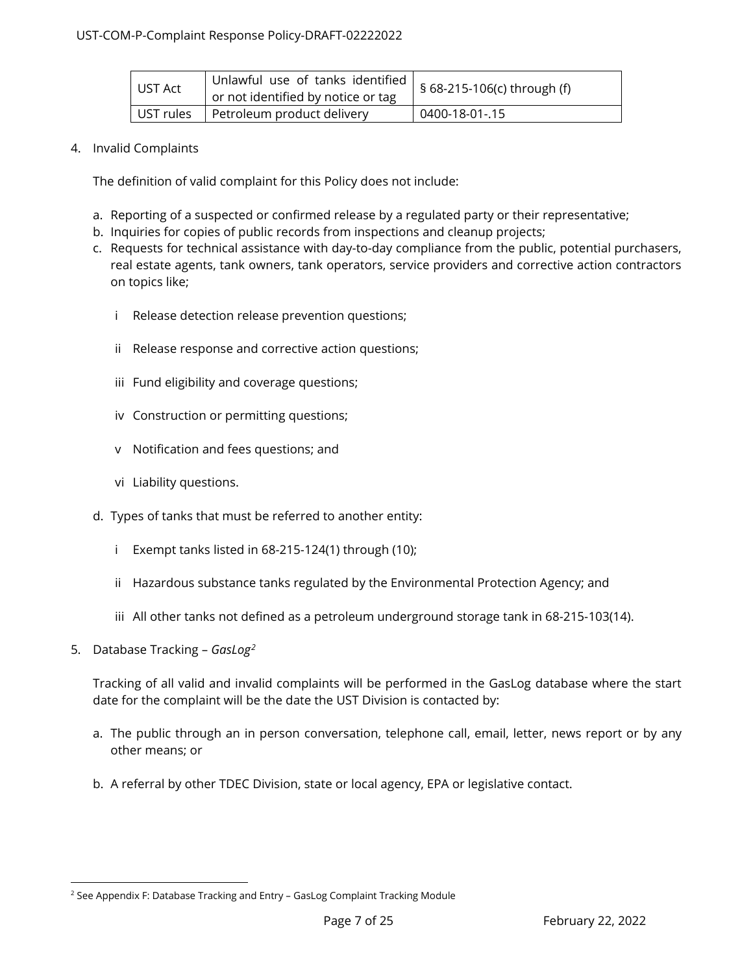| UST Act   | Unlawful use of tanks identified<br>or not identified by notice or tag | § 68-215-106(c) through (f) |
|-----------|------------------------------------------------------------------------|-----------------------------|
| UST rules | Petroleum product delivery                                             | 0400-18-01-.15              |

### <span id="page-6-0"></span>4. Invalid Complaints

<span id="page-6-1"></span>The definition of valid complaint for this Policy does not include:

- a. Reporting of a suspected or confirmed release by a regulated party or their representative;
- b. Inquiries for copies of public records from inspections and cleanup projects;
- c. Requests for technical assistance with day-to-day compliance from the public, potential purchasers, real estate agents, tank owners, tank operators, service providers and corrective action contractors on topics like;
	- i Release detection release prevention questions;
	- ii Release response and corrective action questions;
	- iii Fund eligibility and coverage questions;
	- iv Construction or permitting questions;
	- v Notification and fees questions; and
	- vi Liability questions.
- d. Types of tanks that must be referred to another entity:
	- i Exempt tanks listed in 68-215-124(1) through (10);
	- ii Hazardous substance tanks regulated by the Environmental Protection Agency; and
	- iii All other tanks not defined as a petroleum underground storage tank in 68-215-103(14).
- <span id="page-6-2"></span>5. Database Tracking – *GasLog[2](#page-6-3)*

Tracking of all valid and invalid complaints will be performed in the GasLog database where the start date for the complaint will be the date the UST Division is contacted by:

- a. The public through an in person conversation, telephone call, email, letter, news report or by any other means; or
- b. A referral by other TDEC Division, state or local agency, EPA or legislative contact.

<span id="page-6-3"></span><sup>&</sup>lt;sup>2</sup> See Appendix F: Database Tracking and Entry - GasLog Complaint Tracking Module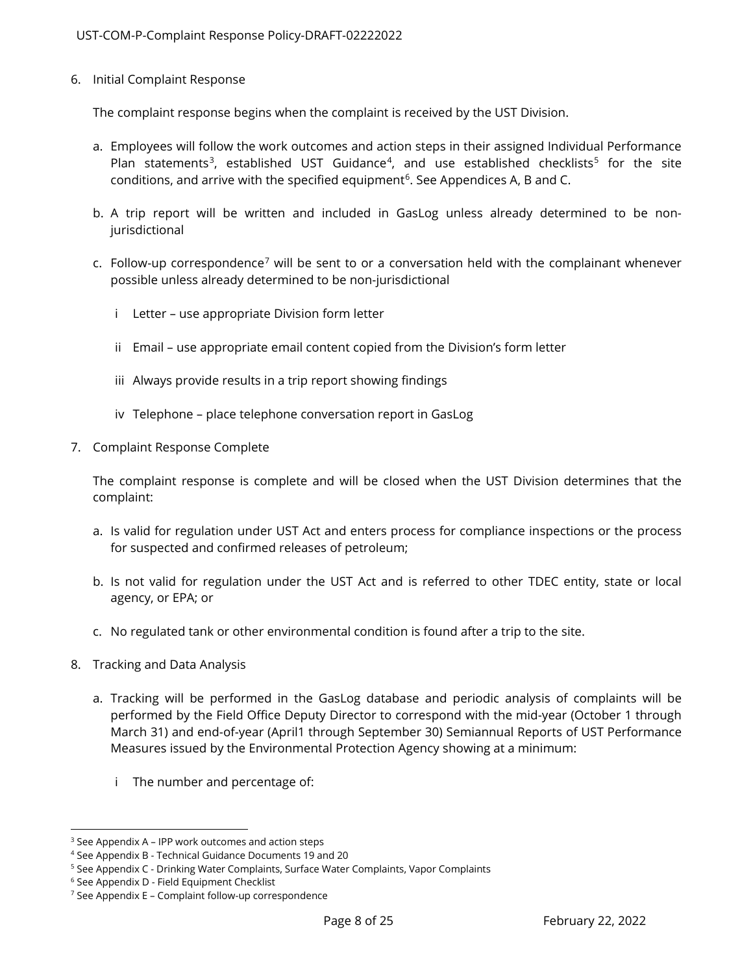<span id="page-7-0"></span>6. Initial Complaint Response

The complaint response begins when the complaint is received by the UST Division.

- a. Employees will follow the work outcomes and action steps in their assigned Individual Performance Plan statements<sup>[3](#page-7-3)</sup>, established UST Guidance<sup>4</sup>, and use established checklists<sup>[5](#page-7-5)</sup> for the site conditions, and arrive with the specified equipment<sup>[6](#page-7-6)</sup>. See Appendices A, B and C.
- b. A trip report will be written and included in GasLog unless already determined to be nonjurisdictional
- c. Follow-up correspondence<sup>[7](#page-7-7)</sup> will be sent to or a conversation held with the complainant whenever possible unless already determined to be non-jurisdictional
	- i Letter use appropriate Division form letter
	- ii Email use appropriate email content copied from the Division's form letter
	- iii Always provide results in a trip report showing findings
	- iv Telephone place telephone conversation report in GasLog
- <span id="page-7-1"></span>7. Complaint Response Complete

The complaint response is complete and will be closed when the UST Division determines that the complaint:

- a. Is valid for regulation under UST Act and enters process for compliance inspections or the process for suspected and confirmed releases of petroleum;
- b. Is not valid for regulation under the UST Act and is referred to other TDEC entity, state or local agency, or EPA; or
- c. No regulated tank or other environmental condition is found after a trip to the site.
- <span id="page-7-2"></span>8. Tracking and Data Analysis
	- a. Tracking will be performed in the GasLog database and periodic analysis of complaints will be performed by the Field Office Deputy Director to correspond with the mid-year (October 1 through March 31) and end-of-year (April1 through September 30) Semiannual Reports of UST Performance Measures issued by the Environmental Protection Agency showing at a minimum:
		- i The number and percentage of:

<span id="page-7-3"></span><sup>3</sup> See Appendix A – IPP work outcomes and action steps

<span id="page-7-4"></span><sup>4</sup> See Appendix B - Technical Guidance Documents 19 and 20

<span id="page-7-5"></span><sup>&</sup>lt;sup>5</sup> See Appendix C - Drinking Water Complaints, Surface Water Complaints, Vapor Complaints

<span id="page-7-6"></span><sup>6</sup> See Appendix D - Field Equipment Checklist

<span id="page-7-7"></span> $7$  See Appendix E – Complaint follow-up correspondence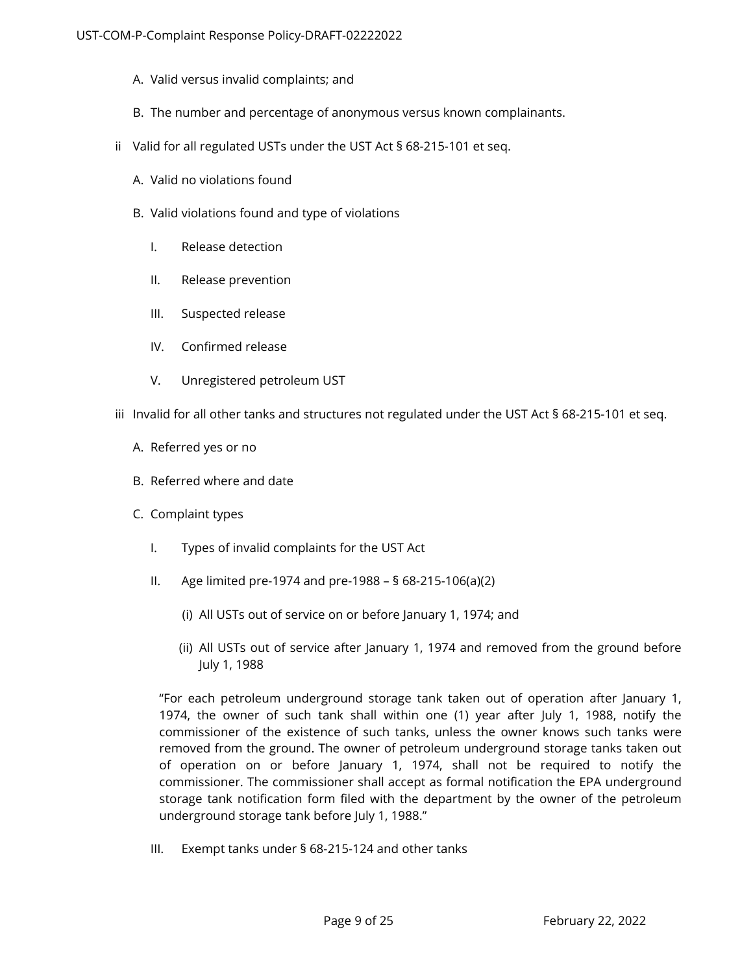- A. Valid versus invalid complaints; and
- B. The number and percentage of anonymous versus known complainants.
- ii Valid for all regulated USTs under the UST Act § 68-215-101 et seq.
	- A. Valid no violations found
	- B. Valid violations found and type of violations
		- I. Release detection
		- II. Release prevention
		- III. Suspected release
		- IV. Confirmed release
		- V. Unregistered petroleum UST
- iii Invalid for all other tanks and structures not regulated under the UST Act § 68-215-101 et seq.
	- A. Referred yes or no
	- B. Referred where and date
	- C. Complaint types
		- I. Types of invalid complaints for the UST Act
		- II. Age limited pre-1974 and pre-1988 § 68-215-106(a)(2)
			- (i) All USTs out of service on or before January 1, 1974; and
			- (ii) All USTs out of service after January 1, 1974 and removed from the ground before July 1, 1988

"For each petroleum underground storage tank taken out of operation after January 1, 1974, the owner of such tank shall within one (1) year after July 1, 1988, notify the commissioner of the existence of such tanks, unless the owner knows such tanks were removed from the ground. The owner of petroleum underground storage tanks taken out of operation on or before January 1, 1974, shall not be required to notify the commissioner. The commissioner shall accept as formal notification the EPA underground storage tank notification form filed with the department by the owner of the petroleum underground storage tank before July 1, 1988."

III. Exempt tanks under § 68-215-124 and other tanks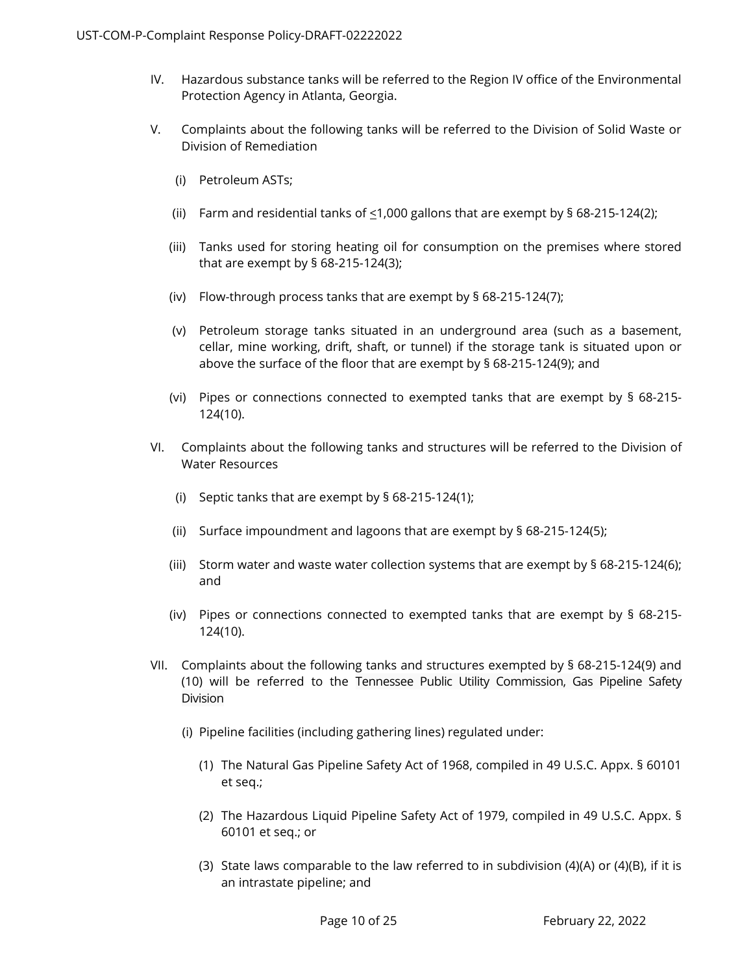- IV. Hazardous substance tanks will be referred to the Region IV office of the Environmental Protection Agency in Atlanta, Georgia.
- V. Complaints about the following tanks will be referred to the Division of Solid Waste or Division of Remediation
	- (i) Petroleum ASTs;
	- (ii) Farm and residential tanks of  $\leq$ 1,000 gallons that are exempt by § 68-215-124(2);
	- (iii) Tanks used for storing heating oil for consumption on the premises where stored that are exempt by § 68-215-124(3);
	- (iv) Flow-through process tanks that are exempt by § 68-215-124(7);
	- (v) Petroleum storage tanks situated in an underground area (such as a basement, cellar, mine working, drift, shaft, or tunnel) if the storage tank is situated upon or above the surface of the floor that are exempt by § 68-215-124(9); and
	- (vi) Pipes or connections connected to exempted tanks that are exempt by § 68-215- 124(10).
- VI. Complaints about the following tanks and structures will be referred to the Division of Water Resources
	- (i) Septic tanks that are exempt by § 68-215-124(1);
	- (ii) Surface impoundment and lagoons that are exempt by § 68-215-124(5);
	- (iii) Storm water and waste water collection systems that are exempt by § 68-215-124(6); and
	- (iv) Pipes or connections connected to exempted tanks that are exempt by § 68-215- 124(10).
- VII. Complaints about the following tanks and structures exempted by § 68-215-124(9) and (10) will be referred to the Tennessee Public Utility Commission, Gas Pipeline Safety Division
	- (i) Pipeline facilities (including gathering lines) regulated under:
		- (1) The Natural Gas Pipeline Safety Act of 1968, compiled in 49 U.S.C. Appx. § 60101 et seq.;
		- (2) The Hazardous Liquid Pipeline Safety Act of 1979, compiled in 49 U.S.C. Appx. § 60101 et seq.; or
		- (3) State laws comparable to the law referred to in subdivision (4)(A) or (4)(B), if it is an intrastate pipeline; and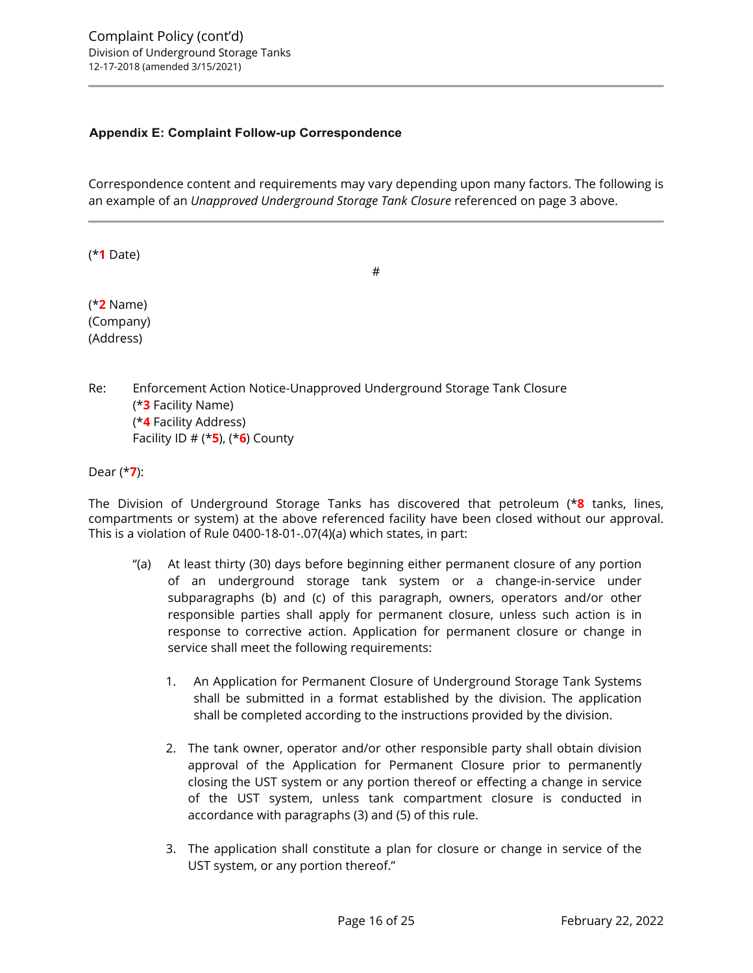### <span id="page-15-0"></span>**Appendix E: Complaint Follow-up Correspondence**

Correspondence content and requirements may vary depending upon many factors. The following is an example of an *Unapproved Underground Storage Tank Closure* referenced on page 3 above.

(\***1** Date)

#

(\***2** Name) (Company) (Address)

Re: Enforcement Action Notice-Unapproved Underground Storage Tank Closure (\***3** Facility Name) (\***4** Facility Address) Facility ID # (\***5**), (\***6**) County

Dear (\***7**):

The Division of Underground Storage Tanks has discovered that petroleum (\***8** tanks, lines, compartments or system) at the above referenced facility have been closed without our approval. This is a violation of Rule 0400-18-01-.07(4)(a) which states, in part:

- "(a) At least thirty (30) days before beginning either permanent closure of any portion of an underground storage tank system or a change-in-service under subparagraphs (b) and (c) of this paragraph, owners, operators and/or other responsible parties shall apply for permanent closure, unless such action is in response to corrective action. Application for permanent closure or change in service shall meet the following requirements:
	- 1. An Application for Permanent Closure of Underground Storage Tank Systems shall be submitted in a format established by the division. The application shall be completed according to the instructions provided by the division.
	- 2. The tank owner, operator and/or other responsible party shall obtain division approval of the Application for Permanent Closure prior to permanently closing the UST system or any portion thereof or effecting a change in service of the UST system, unless tank compartment closure is conducted in accordance with paragraphs (3) and (5) of this rule.
	- 3. The application shall constitute a plan for closure or change in service of the UST system, or any portion thereof."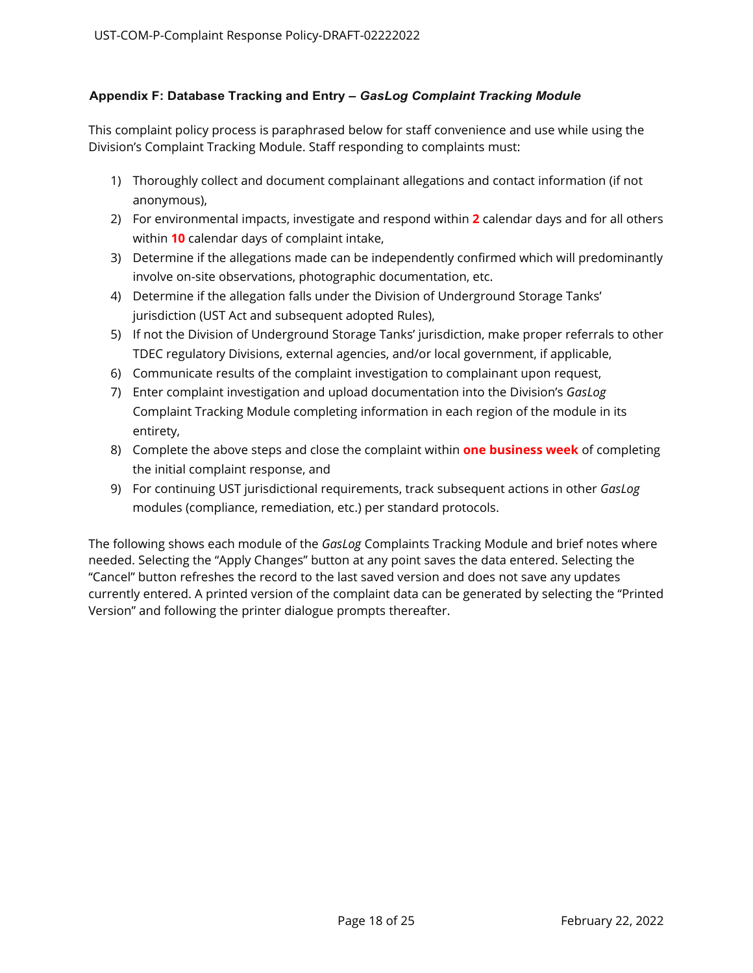### <span id="page-17-0"></span>**Appendix F: Database Tracking and Entry –** *GasLog Complaint Tracking Module*

This complaint policy process is paraphrased below for staff convenience and use while using the Division's Complaint Tracking Module. Staff responding to complaints must:

- 1) Thoroughly collect and document complainant allegations and contact information (if not anonymous),
- 2) For environmental impacts, investigate and respond within **2** calendar days and for all others within **10** calendar days of complaint intake,
- 3) Determine if the allegations made can be independently confirmed which will predominantly involve on-site observations, photographic documentation, etc.
- 4) Determine if the allegation falls under the Division of Underground Storage Tanks' jurisdiction (UST Act and subsequent adopted Rules),
- 5) If not the Division of Underground Storage Tanks' jurisdiction, make proper referrals to other TDEC regulatory Divisions, external agencies, and/or local government, if applicable,
- 6) Communicate results of the complaint investigation to complainant upon request,
- 7) Enter complaint investigation and upload documentation into the Division's *GasLog* Complaint Tracking Module completing information in each region of the module in its entirety,
- 8) Complete the above steps and close the complaint within **one business week** of completing the initial complaint response, and
- 9) For continuing UST jurisdictional requirements, track subsequent actions in other *GasLog* modules (compliance, remediation, etc.) per standard protocols.

The following shows each module of the *GasLog* Complaints Tracking Module and brief notes where needed. Selecting the "Apply Changes" button at any point saves the data entered. Selecting the "Cancel" button refreshes the record to the last saved version and does not save any updates currently entered. A printed version of the complaint data can be generated by selecting the "Printed Version" and following the printer dialogue prompts thereafter.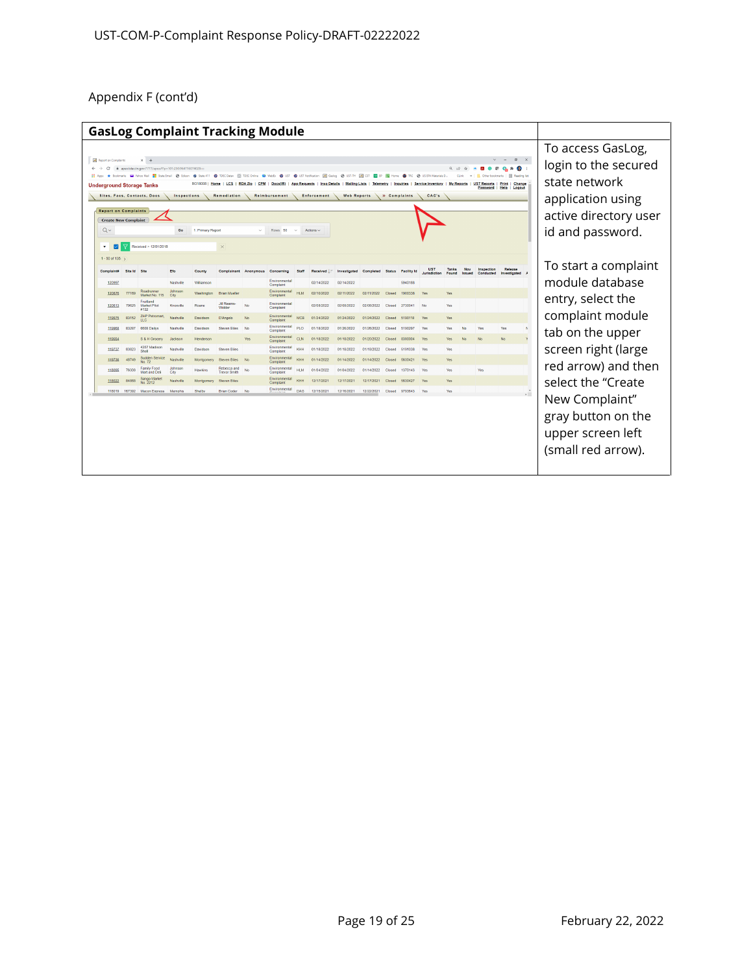| $Q \vee$<br>$\mathbf{v}$    | <b>GasLog Complaint Tracking Module</b><br>$\blacksquare$<br>$\times$<br>Report on Complaints<br>$x +$<br>@ apex.tdec.tn.gov:7777/apex/f?p=101:250:964716074028:<br><b>@</b> TDEC Datax <b>ET TDEC Online <b>@</b> WebEx <b>@</b></b><br>Bookmarks Minhoo Mail # State Email @ Edison @ State 411<br><b>40</b> UST Notification <b>AT</b><br>Ch US EPA Materials D.<br><b>ST Reports</b><br>Print   Change<br><b>App Requests</b><br><b>Insp Details</b><br><b>Underground Storage Tanks</b><br>Password<br>Help  <br>Logout<br>Sites, Facs, Contacts, Docs<br><b>Inspections</b><br>Remediation<br><b>Enforcement</b><br><b>Web Reports</b><br>» Complaints<br>CAC's<br>Reimbursement<br><b>Report on Complaints</b><br><b>Create New Complaint</b><br>1. Primary Report<br>Rows 50<br>Actions $\sim$<br>Go<br>$\sim$<br>Received > 12/01/2018<br>$\times$ |                 |                                   |                 |                |                                    |           |                            |            |            | To access GasLog,<br>login to the secured<br>state network<br>application using<br>active directory user<br>id and password. |            |               |             |                                   |                       |                       |                         |                         |                                                                                 |
|-----------------------------|-------------------------------------------------------------------------------------------------------------------------------------------------------------------------------------------------------------------------------------------------------------------------------------------------------------------------------------------------------------------------------------------------------------------------------------------------------------------------------------------------------------------------------------------------------------------------------------------------------------------------------------------------------------------------------------------------------------------------------------------------------------------------------------------------------------------------------------------------------------|-----------------|-----------------------------------|-----------------|----------------|------------------------------------|-----------|----------------------------|------------|------------|------------------------------------------------------------------------------------------------------------------------------|------------|---------------|-------------|-----------------------------------|-----------------------|-----------------------|-------------------------|-------------------------|---------------------------------------------------------------------------------|
| 1 - 50 of 135 $\rightarrow$ | ⊽                                                                                                                                                                                                                                                                                                                                                                                                                                                                                                                                                                                                                                                                                                                                                                                                                                                           |                 |                                   |                 |                |                                    |           |                            |            |            |                                                                                                                              |            |               |             |                                   |                       |                       |                         |                         |                                                                                 |
| Complaint#                  |                                                                                                                                                                                                                                                                                                                                                                                                                                                                                                                                                                                                                                                                                                                                                                                                                                                             | <b>Site Id.</b> | Site                              | Efo             | County         | <b>Complainant</b>                 | Anonymous | Concerning                 |            | Received   | Investigated                                                                                                                 | Completed  | <b>Status</b> | Facility Id | <b>UST</b><br><b>Jurisdiction</b> | Tanks<br><b>Found</b> | Nov<br><b>Because</b> | Inspection<br>Conducted | Release<br>Investigated | To start a complaint                                                            |
|                             | 120997                                                                                                                                                                                                                                                                                                                                                                                                                                                                                                                                                                                                                                                                                                                                                                                                                                                      |                 |                                   | Nashville       | Williamson     |                                    |           | Environmenta<br>Complaint  |            | 02/14/2022 | 02/14/2022                                                                                                                   |            |               | 5940188     |                                   |                       |                       |                         |                         | module database                                                                 |
|                             | 120876                                                                                                                                                                                                                                                                                                                                                                                                                                                                                                                                                                                                                                                                                                                                                                                                                                                      |                 | Roadrunner<br>Market No. 115      | Johnson<br>City | Washington     | <b>Brian Mueller</b>               |           | Environmenta<br>Complaint  |            | 02/10/2022 | 02/11/2022                                                                                                                   | 02/11/2022 | Closed        | 1900338     | Yes                               | Yes                   |                       |                         |                         |                                                                                 |
|                             | 120613                                                                                                                                                                                                                                                                                                                                                                                                                                                                                                                                                                                                                                                                                                                                                                                                                                                      | 79625           | Fruitland<br>Market Pilot<br>#132 | Knoxville       | Roane          | Jill Reams-<br>Widder              | No        | Environmental<br>Complaint |            | 02/08/2022 | 02/08/2022                                                                                                                   | 02/08/2022 | Closed        | 2730041     | No.                               | Yes                   |                       |                         |                         | entry, select the                                                               |
|                             | 119975                                                                                                                                                                                                                                                                                                                                                                                                                                                                                                                                                                                                                                                                                                                                                                                                                                                      | 83152           | <b>ZHP Petromart</b>              | Nashville       | Davidson       | D'Angelo                           | No        | Environmental<br>Complaint | <b>MCC</b> | 01/24/2022 | 01/24/2022                                                                                                                   | 01/24/2022 | Closed        | 5190118     | Yes                               | Yes                   |                       |                         |                         | complaint module                                                                |
|                             | 119968                                                                                                                                                                                                                                                                                                                                                                                                                                                                                                                                                                                                                                                                                                                                                                                                                                                      | 83287           | 6608 Dailys                       | Nashville       | Davidson       | Steven Riles                       | No        | Environmental<br>Complaint | P1O        | 01/18/2022 | 01/26/2022                                                                                                                   | 01/26/2022 | Closed        | 5190297     | Yes                               | Yes                   |                       |                         | Yes                     | tab on the upper                                                                |
|                             | 119554                                                                                                                                                                                                                                                                                                                                                                                                                                                                                                                                                                                                                                                                                                                                                                                                                                                      |                 | S & H Grocen                      | Jackson         | Henderson      |                                    | Yes       | Environmental<br>Complaint | <b>CLN</b> | 01/18/2022 | 01/18/2022                                                                                                                   | 01/20/2022 | Closed        | 8390004     | Yes                               |                       |                       |                         | No                      |                                                                                 |
|                             | 119737                                                                                                                                                                                                                                                                                                                                                                                                                                                                                                                                                                                                                                                                                                                                                                                                                                                      | 83823           | 4357 Madison<br>Shell             | Nashville       | Davidson       | <b>Steven Biles</b>                |           | Environmental<br>Complaint | KHH        | 01/18/2022 | 01/18/2022                                                                                                                   | 01/18/2022 | Closed        | 5191038     | Yes                               | Yes                   |                       |                         |                         | screen right (large                                                             |
|                             | 119736                                                                                                                                                                                                                                                                                                                                                                                                                                                                                                                                                                                                                                                                                                                                                                                                                                                      | 48749           | Sudden Service<br>No. 72          | Nashville       | Montgomery     | <b>Steven Biles</b>                |           | Environmental<br>Complaint | KHH        | 01/14/2022 | 01/14/2022                                                                                                                   | 01/14/2022 | Closed        | 5630421     | Yes                               | Yes                   |                       |                         |                         | red arrow) and then                                                             |
|                             | 118095                                                                                                                                                                                                                                                                                                                                                                                                                                                                                                                                                                                                                                                                                                                                                                                                                                                      | 76308           | Family Food<br>Mart and Deli      | Johnson<br>City | <b>Hawkins</b> | Rebecca and<br><b>Trevor Smith</b> | No        | Environmental<br>Complaint | <b>HLM</b> | 01/04/2022 | 01/04/2022                                                                                                                   | 01/14/2022 | Closed        | 1370143     | Yes                               | Yes                   |                       | Yes                     |                         |                                                                                 |
|                             | 118022                                                                                                                                                                                                                                                                                                                                                                                                                                                                                                                                                                                                                                                                                                                                                                                                                                                      | <b>R4863</b>    | Sango Marke<br>No. 2212           | Nashville       | Montgomery     | <b>Steven Biles</b>                |           | Environmenta<br>Complaint  | KHH        | 12/17/2021 | 12/17/2021                                                                                                                   | 12/17/2021 | Closed        | 5630427     | Yes                               | Yes                   |                       |                         |                         | select the "Create                                                              |
|                             | 118019                                                                                                                                                                                                                                                                                                                                                                                                                                                                                                                                                                                                                                                                                                                                                                                                                                                      | 167392          | <b>Maron Express</b>              | Memphis         | Shelby         | <b>Brian Coder</b>                 | No        | Environmental              | DAG        | 12/15/2021 | 12/16/2021                                                                                                                   | 12/22/2021 | Closed        | 9793643     | Yes                               | Yes                   |                       |                         |                         | New Complaint"<br>gray button on the<br>upper screen left<br>(small red arrow). |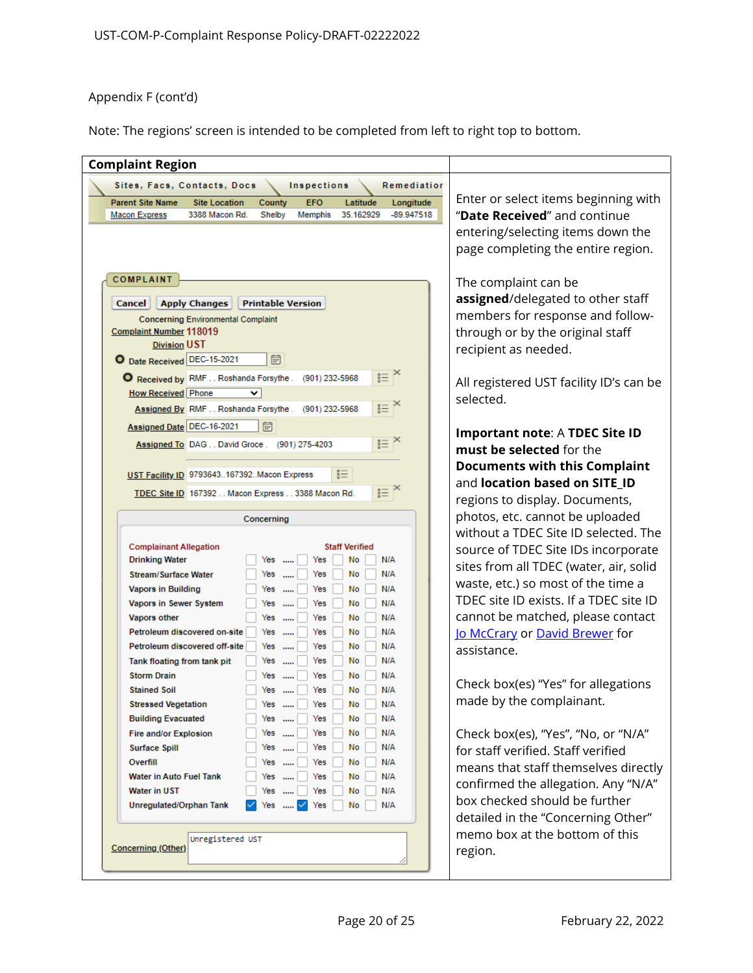Note: The regions' screen is intended to be completed from left to right top to bottom.

| <b>Complaint Region</b>                                                                                                                                                                      |                                         |
|----------------------------------------------------------------------------------------------------------------------------------------------------------------------------------------------|-----------------------------------------|
|                                                                                                                                                                                              |                                         |
| Sites, Facs, Contacts, Docs<br>Inspections<br>Remediation                                                                                                                                    | Enter or select items beginning with    |
| County<br><b>EFO</b><br>Latitude<br><b>Parent Site Name</b><br><b>Site Location</b><br>Longitude<br>3388 Macon Rd.<br>Shelby<br>Memphis<br>35.162929<br>$-89.947518$<br><b>Macon Express</b> | "Date Received" and continue            |
|                                                                                                                                                                                              |                                         |
|                                                                                                                                                                                              | entering/selecting items down the       |
|                                                                                                                                                                                              | page completing the entire region.      |
| COMPLAINT                                                                                                                                                                                    |                                         |
|                                                                                                                                                                                              | The complaint can be                    |
| <b>Apply Changes</b><br><b>Printable Version</b><br>Cancel                                                                                                                                   | assigned/delegated to other staff       |
| <b>Concerning Environmental Complaint</b>                                                                                                                                                    | members for response and follow-        |
| <b>Complaint Number 118019</b>                                                                                                                                                               | through or by the original staff        |
| <b>Division UST</b>                                                                                                                                                                          | recipient as needed.                    |
| O Date Received DEC-15-2021<br>崗                                                                                                                                                             |                                         |
| $\mathbf{r} \equiv \mathbf{r}$<br>O Received by RMF Roshanda Forsythe .<br>(901) 232-5968                                                                                                    | All registered UST facility ID's can be |
| <b>How Received Phone</b><br>v                                                                                                                                                               | selected.                               |
| $\mathbf{r} \equiv \mathbf{r}$<br>Assigned By RMF Roshanda Forsythe .<br>(901) 232-5968                                                                                                      |                                         |
| Assigned Date DEC-16-2021<br>扃                                                                                                                                                               | Important note: A TDEC Site ID          |
| $\frac{1}{2}$ $\equiv$ $\frac{1}{2}$<br>Assigned To DAGDavid Groce. (901) 275-4203                                                                                                           | must be selected for the                |
|                                                                                                                                                                                              | <b>Documents with this Complaint</b>    |
| 言<br>UST Facility ID 9793643167392Macon Express                                                                                                                                              | and location based on SITE_ID           |
| $\mathbf{r} \equiv \mathbf{r}$<br>TDEC Site ID 167392 Macon Express 3388 Macon Rd.                                                                                                           | regions to display. Documents,          |
|                                                                                                                                                                                              | photos, etc. cannot be uploaded         |
| Concerning                                                                                                                                                                                   |                                         |
| <b>Complainant Allegation</b><br><b>Staff Verified</b>                                                                                                                                       | without a TDEC Site ID selected. The    |
| <b>Drinking Water</b><br>Yes<br>N/A<br>Yes<br>No                                                                                                                                             | source of TDEC Site IDs incorporate     |
| Yes<br>No<br>Yes<br>N/A<br><b>Stream/Surface Water</b>                                                                                                                                       | sites from all TDEC (water, air, solid  |
| <b>Vapors in Building</b><br>Yes<br>Yes<br>No<br>N/A                                                                                                                                         | waste, etc.) so most of the time a      |
| Vapors in Sewer System<br>Yes<br>No<br>N/A<br>Yes                                                                                                                                            | TDEC site ID exists. If a TDEC site ID  |
| Yes<br>No<br>N/A<br>Vapors other<br>Yes                                                                                                                                                      | cannot be matched, please contact       |
| Petroleum discovered on-site<br>Yes<br>No<br>N/A<br>Yes                                                                                                                                      | lo McCrary or David Brewer for          |
| Petroleum discovered off-site<br>Yes<br>No<br>N/A<br>Yes                                                                                                                                     | assistance.                             |
| No<br>N/A<br>$Yes$<br>Yes<br>Tank floating from tank pit                                                                                                                                     |                                         |
| <b>Storm Drain</b><br>Yes<br>No<br>N/A<br>Yes<br>Yes<br>No<br>N/A<br><b>Stained Soil</b>                                                                                                     | Check box(es) "Yes" for allegations     |
| Yes<br><b>Stressed Vegetation</b><br>No<br>N/A<br>Yes<br>Yes                                                                                                                                 | made by the complainant.                |
| No<br>N/A<br><b>Building Evacuated</b><br>Yes<br>Yes<br>$\cdots$                                                                                                                             |                                         |
| Yes<br>No<br>N/A<br><b>Fire and/or Explosion</b><br>Yes<br>$\cdots$                                                                                                                          | Check box(es), "Yes", "No, or "N/A"     |
| Yes<br>No<br>N/A<br>Yes<br><b>Surface Spill</b><br>$\cdots$                                                                                                                                  | for staff verified. Staff verified      |
| Yes<br>No<br>N/A<br>Overfill<br>Yes<br>1000                                                                                                                                                  | means that staff themselves directly    |
| Yes<br>Water in Auto Fuel Tank<br>No<br>N/A<br>Yes<br>1000                                                                                                                                   |                                         |
| Water in UST<br>Yes<br>No<br>N/A<br>Yes<br>1000                                                                                                                                              | confirmed the allegation. Any "N/A"     |
| No<br>N/A<br>Unregulated/Orphan Tank<br>Yes<br>√es<br><b><i>Company</i></b>                                                                                                                  | box checked should be further           |
|                                                                                                                                                                                              | detailed in the "Concerning Other"      |
| Unregistered UST                                                                                                                                                                             | memo box at the bottom of this          |
| Concerning (Other)                                                                                                                                                                           | region.                                 |
|                                                                                                                                                                                              |                                         |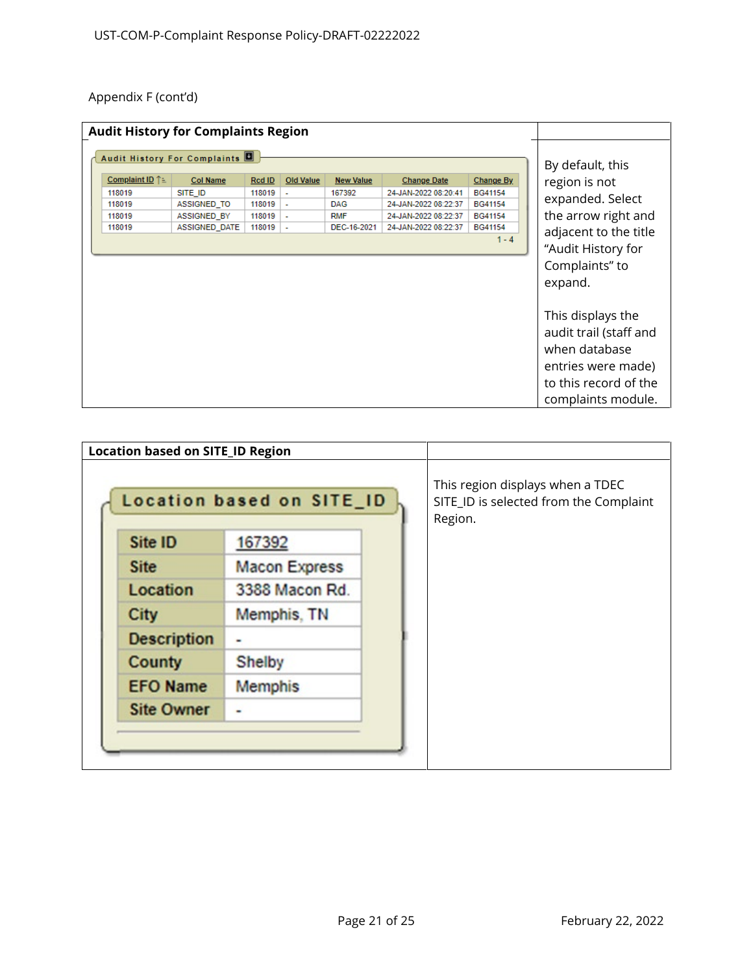|                                | <b>Audit History for Complaints Region</b> |        |                  |                  |                      |           |                                                                                                                                   |
|--------------------------------|--------------------------------------------|--------|------------------|------------------|----------------------|-----------|-----------------------------------------------------------------------------------------------------------------------------------|
| Audit History For Complaints   | By default, this                           |        |                  |                  |                      |           |                                                                                                                                   |
| Complaint ID $\uparrow \equiv$ | <b>Col Name</b>                            | Rcd ID | <b>Old Value</b> | <b>New Value</b> | <b>Change Date</b>   | Change By | region is not                                                                                                                     |
| 118019                         | SITE ID                                    | 118019 | ٠                | 167392           | 24-JAN-2022 08:20:41 | BG41154   | expanded. Select                                                                                                                  |
| 118019                         | ASSIGNED_TO                                | 118019 | ä,               | <b>DAG</b>       | 24-JAN-2022 08:22:37 | BG41154   |                                                                                                                                   |
| 118019                         | ASSIGNED BY                                | 118019 | ä,               | <b>RMF</b>       | 24-JAN-2022 08:22:37 | BG41154   | the arrow right and                                                                                                               |
| 118019                         | ASSIGNED_DATE                              | 118019 | ä,               | DEC-16-2021      | 24-JAN-2022 08:22:37 | BG41154   | adjacent to the title                                                                                                             |
|                                |                                            |        |                  |                  |                      | $1 - 4$   | "Audit History for<br>Complaints" to<br>expand.                                                                                   |
|                                |                                            |        |                  |                  |                      |           | This displays the<br>audit trail (staff and<br>when database<br>entries were made)<br>to this record of the<br>complaints module. |

| <b>Location based on SITE_ID Region</b> |                           |                                                                                       |
|-----------------------------------------|---------------------------|---------------------------------------------------------------------------------------|
|                                         | Location based on SITE_ID | This region displays when a TDEC<br>SITE_ID is selected from the Complaint<br>Region. |
| Site ID                                 | 167392                    |                                                                                       |
| <b>Site</b>                             | <b>Macon Express</b>      |                                                                                       |
| Location                                | 3388 Macon Rd.            |                                                                                       |
| <b>City</b>                             | Memphis, TN               |                                                                                       |
| <b>Description</b>                      |                           |                                                                                       |
| <b>County</b>                           | Shelby                    |                                                                                       |
| <b>EFO Name</b>                         | <b>Memphis</b>            |                                                                                       |
| <b>Site Owner</b>                       |                           |                                                                                       |
|                                         |                           |                                                                                       |
|                                         |                           |                                                                                       |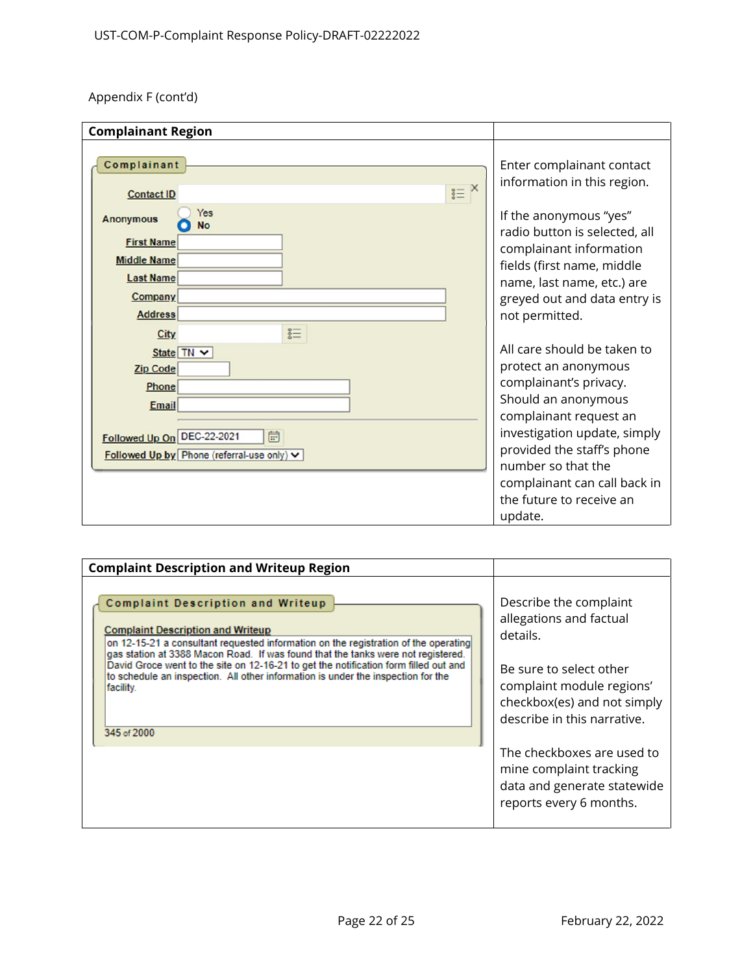| <b>Complainant Region</b>                                                                                                                    |                                                                                                                                                                                |
|----------------------------------------------------------------------------------------------------------------------------------------------|--------------------------------------------------------------------------------------------------------------------------------------------------------------------------------|
| Complainant                                                                                                                                  | Enter complainant contact<br>information in this region.                                                                                                                       |
| $X \equiv X$<br><b>Contact ID</b><br>Yes<br><b>Anonymous</b><br>No<br><b>First Name</b><br><b>Middle Name</b><br><b>Last Name</b><br>Company | If the anonymous "yes"<br>radio button is selected, all<br>complainant information<br>fields (first name, middle<br>name, last name, etc.) are<br>greyed out and data entry is |
| <b>Address</b><br>$\S \equiv$<br><b>City</b><br>State TN V<br><b>Zip Code</b><br><b>Phone</b><br>Email                                       | not permitted.<br>All care should be taken to<br>protect an anonymous<br>complainant's privacy.<br>Should an anonymous<br>complainant request an                               |
| 曲<br>Followed Up On DEC-22-2021<br>Followed Up by Phone (referral-use only) v                                                                | investigation update, simply<br>provided the staff's phone<br>number so that the<br>complainant can call back in<br>the future to receive an<br>update.                        |

| <b>Complaint Description and Writeup Region</b>                                                                                                                                                                                                                                                                                                                                                                                                                  |                                                                                                                                                                                     |
|------------------------------------------------------------------------------------------------------------------------------------------------------------------------------------------------------------------------------------------------------------------------------------------------------------------------------------------------------------------------------------------------------------------------------------------------------------------|-------------------------------------------------------------------------------------------------------------------------------------------------------------------------------------|
| Complaint Description and Writeup<br><b>Complaint Description and Writeup</b><br>on 12-15-21 a consultant requested information on the registration of the operating<br>gas station at 3388 Macon Road. If was found that the tanks were not registered.<br>David Groce went to the site on 12-16-21 to get the notification form filled out and<br>to schedule an inspection. All other information is under the inspection for the<br>facility.<br>345 of 2000 | Describe the complaint<br>allegations and factual<br>details.<br>Be sure to select other<br>complaint module regions'<br>checkbox(es) and not simply<br>describe in this narrative. |
|                                                                                                                                                                                                                                                                                                                                                                                                                                                                  | The checkboxes are used to<br>mine complaint tracking<br>data and generate statewide<br>reports every 6 months.                                                                     |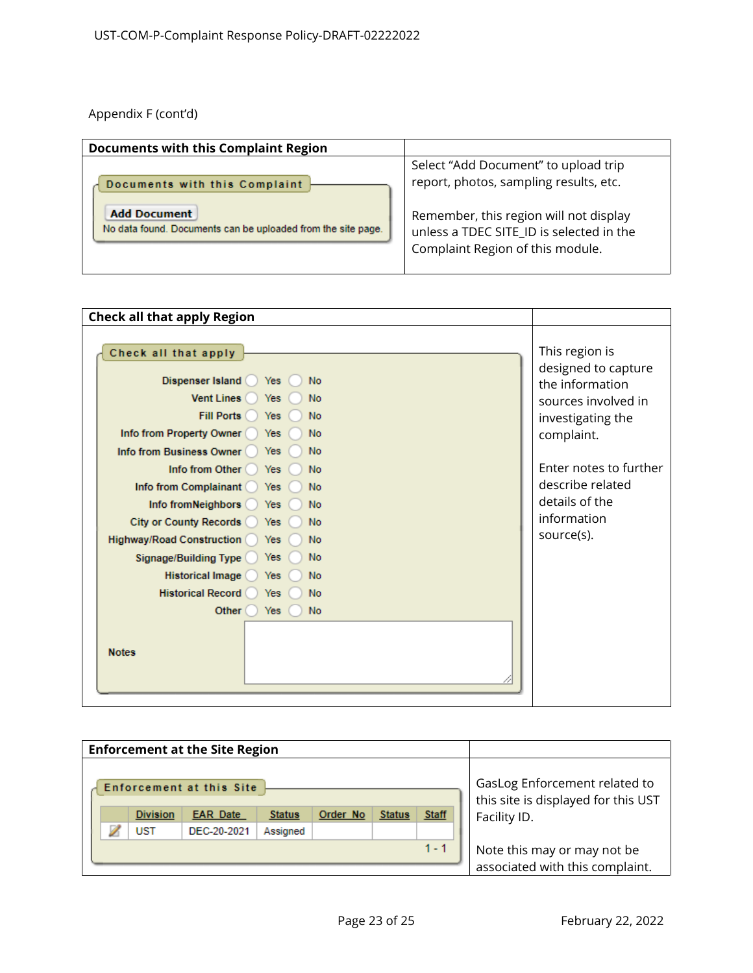| <b>Documents with this Complaint Region</b>                                         |                                                                                                                        |
|-------------------------------------------------------------------------------------|------------------------------------------------------------------------------------------------------------------------|
| Documents with this Complaint                                                       | Select "Add Document" to upload trip<br>report, photos, sampling results, etc.                                         |
| <b>Add Document</b><br>No data found. Documents can be uploaded from the site page. | Remember, this region will not display<br>unless a TDEC SITE ID is selected in the<br>Complaint Region of this module. |

| <b>Check all that apply Region</b>                                                                                                                                                                                                                                                                                                                                                                                                                                                                                                                                                                                   |                                                                                                                                                                                                                 |
|----------------------------------------------------------------------------------------------------------------------------------------------------------------------------------------------------------------------------------------------------------------------------------------------------------------------------------------------------------------------------------------------------------------------------------------------------------------------------------------------------------------------------------------------------------------------------------------------------------------------|-----------------------------------------------------------------------------------------------------------------------------------------------------------------------------------------------------------------|
| Check all that apply<br>Dispenser Island<br><b>Yes</b><br><b>No</b><br><b>Vent Lines</b><br><b>No</b><br>Yes<br><b>Fill Ports</b><br><b>No</b><br>Yes<br>Info from Property Owner<br><b>No</b><br>Yes<br>Info from Business Owner<br>Yes<br><b>No</b><br>Info from Other<br><b>No</b><br>Yes<br>Info from Complainant (<br><b>No</b><br><b>Yes</b><br>Info from Neighbors<br><b>No</b><br><b>Yes</b><br><b>City or County Records</b><br><b>No</b><br>Yes<br><b>Highway/Road Construction</b><br><b>No</b><br>Yes<br><b>No</b><br><b>Signage/Building Type</b><br>Yes<br>Historical Image<br><b>No</b><br><b>Yes</b> | This region is<br>designed to capture<br>the information<br>sources involved in<br>investigating the<br>complaint.<br>Enter notes to further<br>describe related<br>details of the<br>information<br>source(s). |
| <b>Historical Record</b><br>Yes<br><b>No</b>                                                                                                                                                                                                                                                                                                                                                                                                                                                                                                                                                                         |                                                                                                                                                                                                                 |
| Other<br><b>No</b><br>Yes<br><b>Notes</b>                                                                                                                                                                                                                                                                                                                                                                                                                                                                                                                                                                            |                                                                                                                                                                                                                 |
|                                                                                                                                                                                                                                                                                                                                                                                                                                                                                                                                                                                                                      |                                                                                                                                                                                                                 |

| <b>Enforcement at the Site Region</b> |                 |                                 |                                                                |          |               |              |                                                                      |
|---------------------------------------|-----------------|---------------------------------|----------------------------------------------------------------|----------|---------------|--------------|----------------------------------------------------------------------|
|                                       |                 | <b>Enforcement at this Site</b> |                                                                |          |               |              | GasLog Enforcement related to<br>this site is displayed for this UST |
|                                       | <b>Division</b> | <b>EAR</b> Date                 | <b>Status</b>                                                  | Order No | <b>Status</b> | <b>Staff</b> | Facility ID.                                                         |
|                                       | UST             | DEC-20-2021                     |                                                                |          |               |              |                                                                      |
|                                       |                 |                                 | Note this may or may not be<br>associated with this complaint. |          |               |              |                                                                      |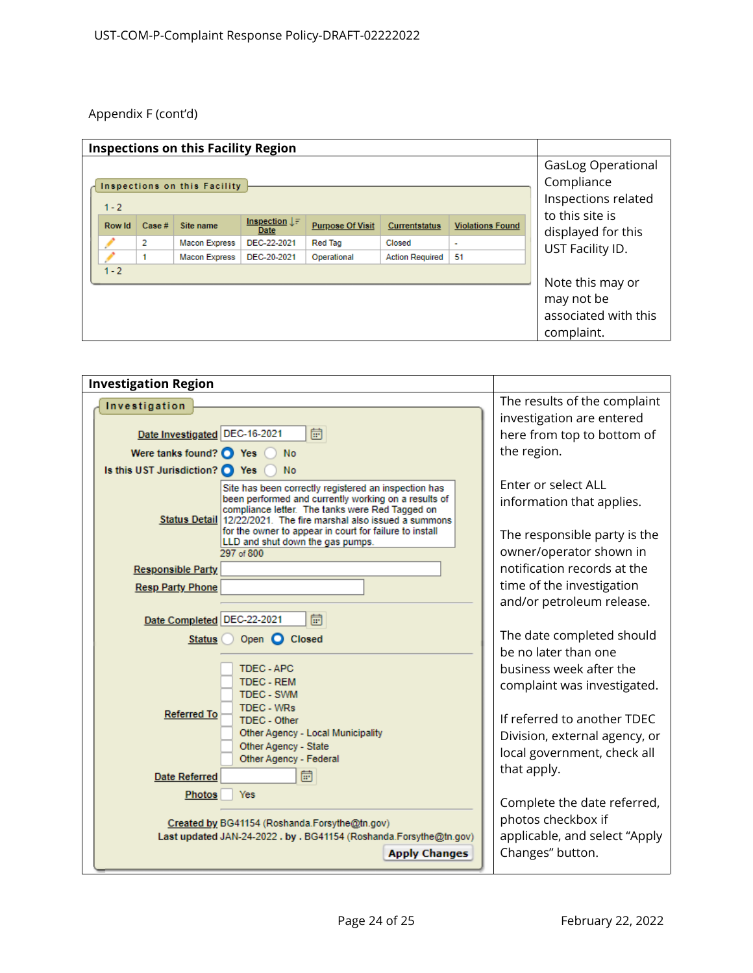| <b>Inspections on this Facility Region</b> |       |                              |                                   |                         |                        |                         |                                                                      |
|--------------------------------------------|-------|------------------------------|-----------------------------------|-------------------------|------------------------|-------------------------|----------------------------------------------------------------------|
| $1 - 2$                                    |       | Inspections on this Facility |                                   |                         |                        |                         | <b>GasLog Operational</b><br>Compliance<br>Inspections related       |
| <b>Row Id</b>                              | Case# | Site name                    | Inspection $\downarrow$ =<br>Date | <b>Purpose Of Visit</b> | <b>Currentstatus</b>   | <b>Violations Found</b> | to this site is<br>displayed for this                                |
|                                            | 2     | <b>Macon Express</b>         | DEC-22-2021                       | <b>Red Tag</b>          | Closed                 | $\sim$                  | UST Facility ID.                                                     |
|                                            |       | <b>Macon Express</b>         | DEC-20-2021                       | Operational             | <b>Action Required</b> | 51                      |                                                                      |
| $1 - 2$                                    |       |                              |                                   |                         |                        |                         | Note this may or<br>may not be<br>associated with this<br>complaint. |

| <b>Investigation Region</b>                                                                                                 |                                                        |
|-----------------------------------------------------------------------------------------------------------------------------|--------------------------------------------------------|
| Investigation                                                                                                               | The results of the complaint                           |
|                                                                                                                             | investigation are entered                              |
| Date Investigated DEC-16-2021<br>峝                                                                                          | here from top to bottom of                             |
| Were tanks found? $\bigcirc$ Yes<br><b>No</b>                                                                               | the region.                                            |
| Is this UST Jurisdiction? O Yes<br><b>No</b>                                                                                |                                                        |
| Site has been correctly registered an inspection has<br>been performed and currently working on a results of                | Enter or select ALL                                    |
| compliance letter. The tanks were Red Tagged on                                                                             | information that applies.                              |
| Status Detail 12/22/2021. The fire marshal also issued a summons<br>for the owner to appear in court for failure to install |                                                        |
| LLD and shut down the gas pumps.                                                                                            | The responsible party is the                           |
| 297 of 800                                                                                                                  | owner/operator shown in<br>notification records at the |
| <b>Responsible Party</b>                                                                                                    |                                                        |
| <b>Resp Party Phone</b>                                                                                                     | time of the investigation<br>and/or petroleum release. |
| Date Completed DEC-22-2021<br>峝                                                                                             |                                                        |
|                                                                                                                             | The date completed should                              |
| Open C Closed<br>Status (                                                                                                   | be no later than one                                   |
| <b>TDEC-APC</b>                                                                                                             | business week after the                                |
| <b>TDEC - REM</b>                                                                                                           | complaint was investigated.                            |
| <b>TDEC - SWM</b>                                                                                                           |                                                        |
| <b>TDEC - WRs</b><br><b>Referred To</b><br><b>TDEC - Other</b>                                                              | If referred to another TDEC                            |
| <b>Other Agency - Local Municipality</b>                                                                                    | Division, external agency, or                          |
| Other Agency - State<br>Other Agency - Federal                                                                              | local government, check all                            |
| 峝<br><b>Date Referred</b>                                                                                                   | that apply.                                            |
| Yes                                                                                                                         |                                                        |
| <b>Photos</b>                                                                                                               | Complete the date referred,                            |
| Created by BG41154 (Roshanda.Forsythe@tn.gov)                                                                               | photos checkbox if                                     |
| Last updated JAN-24-2022 . by . BG41154 (Roshanda.Forsythe@tn.gov)                                                          | applicable, and select "Apply                          |
| <b>Apply Changes</b>                                                                                                        | Changes" button.                                       |
|                                                                                                                             |                                                        |